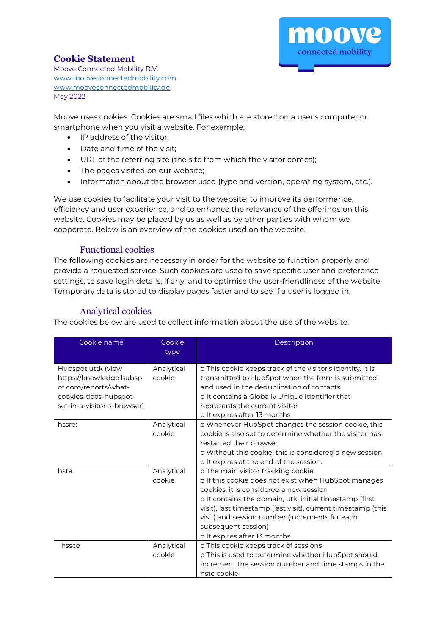

## **Cookie Statement**

Moove Connected Mobility B.V. [www.mooveconnectedmobility.com](http://www.mooveconnectedmobility.com/) [www.mooveconnectedmobility.de](http://www.mooveconnectedmobility.de/) May 2022

Moove uses cookies. Cookies are small files which are stored on a user's computer or smartphone when you visit a website. For example:

- IP address of the visitor;
- Date and time of the visit;
- URL of the referring site (the site from which the visitor comes);
- The pages visited on our website;
- Information about the browser used (type and version, operating system, etc.).

We use cookies to facilitate your visit to the website, to improve its performance, efficiency and user experience, and to enhance the relevance of the offerings on this website. Cookies may be placed by us as well as by other parties with whom we cooperate. Below is an overview of the cookies used on the website.

### Functional cookies

The following cookies are necessary in order for the website to function properly and provide a requested service. Such cookies are used to save specific user and preference settings, to save login details, if any, and to optimise the user-friendliness of the website. Temporary data is stored to display pages faster and to see if a user is logged in.

# Analytical cookies

The cookies below are used to collect information about the use of the website.

| Cookie name                 | Cookie<br>type | Description                                                     |
|-----------------------------|----------------|-----------------------------------------------------------------|
| Hubspot uttk (view          | Analytical     | o This cookie keeps track of the visitor's identity. It is      |
| https://knowledge.hubsp     | cookie         | transmitted to HubSpot when the form is submitted               |
| ot.com/reports/what-        |                | and used in the deduplication of contacts                       |
| cookies-does-hubspot-       |                | o It contains a Globally Unique Identifier that                 |
| set-in-a-visitor-s-browser) |                | represents the current visitor<br>o It expires after 13 months. |
| hssre:                      | Analytical     | o Whenever HubSpot changes the session cookie, this             |
|                             | cookie         | cookie is also set to determine whether the visitor has         |
|                             |                | restarted their browser                                         |
|                             |                | o Without this cookie, this is considered a new session         |
|                             |                | o It expires at the end of the session.                         |
| hste:                       | Analytical     | o The main visitor tracking cookie                              |
|                             | cookie         | o If this cookie does not exist when HubSpot manages            |
|                             |                | cookies, it is considered a new session                         |
|                             |                | o It contains the domain, utk, initial timestamp (first         |
|                             |                | visit), last timestamp (last visit), current timestamp (this    |
|                             |                | visit) and session number (increments for each                  |
|                             |                | subsequent session)                                             |
|                             |                | o It expires after 13 months.                                   |
| hssce                       | Analytical     | o This cookie keeps track of sessions                           |
|                             | cookie         | o This is used to determine whether HubSpot should              |
|                             |                | increment the session number and time stamps in the             |
|                             |                | hstc cookie                                                     |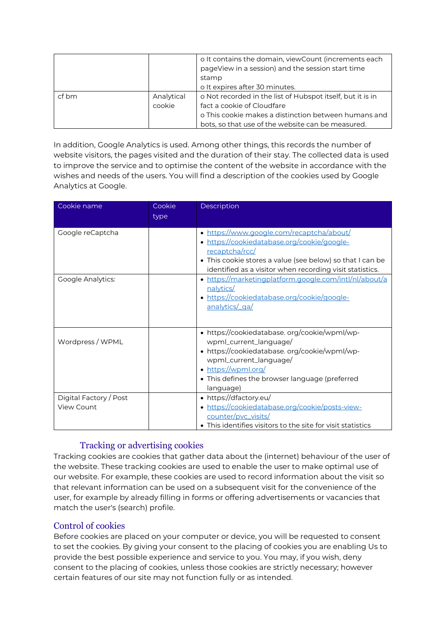|       |                      | o It contains the domain, viewCount (increments each<br>pageView in a session) and the session start time<br>stamp<br>o It expires after 30 minutes. |
|-------|----------------------|------------------------------------------------------------------------------------------------------------------------------------------------------|
| cf bm | Analytical<br>cookie | o Not recorded in the list of Hubspot itself, but it is in<br>fact a cookie of Cloudfare<br>o This cookie makes a distinction between humans and     |
|       |                      | bots, so that use of the website can be measured.                                                                                                    |

In addition, Google Analytics is used. Among other things, this records the number of website visitors, the pages visited and the duration of their stay. The collected data is used to improve the service and to optimise the content of the website in accordance with the wishes and needs of the users. You will find a description of the cookies used by Google Analytics at Google.

| Cookie name                          | Cookie<br>type | Description                                                                                                                                                                                                                            |
|--------------------------------------|----------------|----------------------------------------------------------------------------------------------------------------------------------------------------------------------------------------------------------------------------------------|
|                                      |                |                                                                                                                                                                                                                                        |
| Google reCaptcha                     |                | • https://www.google.com/recaptcha/about/<br>· https://cookiedatabase.org/cookie/google-<br>recaptcha/rcc/<br>• This cookie stores a value (see below) so that I can be<br>identified as a visitor when recording visit statistics.    |
| <b>Google Analytics:</b>             |                | • https://marketingplatform.google.com/intl/nl/about/a<br>nalytics/<br>· https://cookiedatabase.org/cookie/google-<br>analytics/_ga/                                                                                                   |
| Wordpress / WPML                     |                | • https://cookiedatabase.org/cookie/wpml/wp-<br>wpml_current_language/<br>• https://cookiedatabase.org/cookie/wpml/wp-<br>wpml_current_language/<br>• https://wpml.org/<br>• This defines the browser language (preferred<br>language) |
| Digital Factory / Post<br>View Count |                | • https://dfactory.eu/<br>· https://cookiedatabase.org/cookie/posts-view-<br>counter/pvc_visits/<br>This identifies visitors to the site for visit statistics                                                                          |

# Tracking or advertising cookies

Tracking cookies are cookies that gather data about the (internet) behaviour of the user of the website. These tracking cookies are used to enable the user to make optimal use of our website. For example, these cookies are used to record information about the visit so that relevant information can be used on a subsequent visit for the convenience of the user, for example by already filling in forms or offering advertisements or vacancies that match the user's (search) profile.

### Control of cookies

Before cookies are placed on your computer or device, you will be requested to consent to set the cookies. By giving your consent to the placing of cookies you are enabling Us to provide the best possible experience and service to you. You may, if you wish, deny consent to the placing of cookies, unless those cookies are strictly necessary; however certain features of our site may not function fully or as intended.